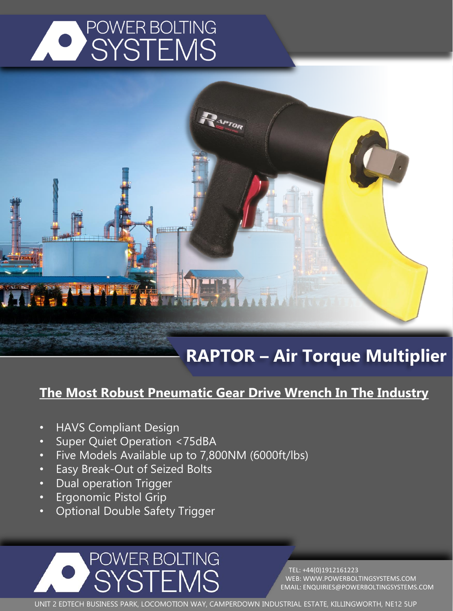

## **RAPTOR – Air Torque Multiplier**

## **The Most Robust Pneumatic Gear Drive Wrench In The Industry**

**APTOR** 

- HAVS Compliant Design
- Super Quiet Operation <75dBA
- Five Models Available up to 7,800NM (6000ft/lbs)
- Easy Break-Out of Seized Bolts
- Dual operation Trigger
- Ergonomic Pistol Grip
- Optional Double Safety Trigger

POWER BOLTING

SYSTEMS

TEL: +44(0)1912161223 WEB: WWW.POWERBOLTINGSYSTEMS.COM EMAIL: ENQUIRIES@POWERBOLTINGSYSTEMS.COM

UNIT 2 EDTECH BUSINESS PARK, LOCOMOTION WAY, CAMPERDOWN INDUSTRIAL ESTATE, KILLINGWORTH, NE12 5UP